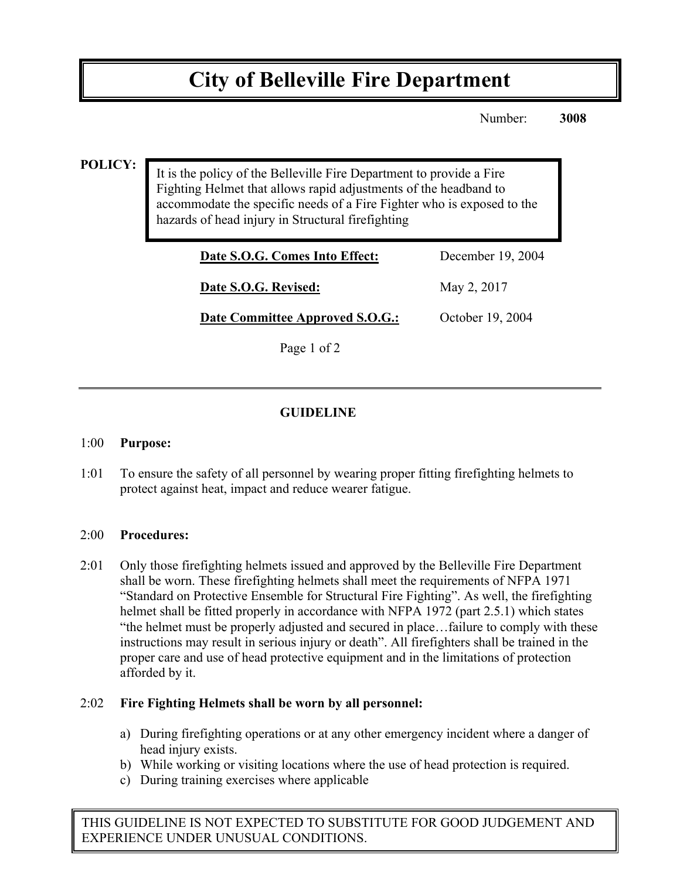# **City of Belleville Fire Department**

Number: **3008**

#### **POLICY:**

It is the policy of the Belleville Fire Department to provide a Fire Fighting Helmet that allows rapid adjustments of the headband to accommodate the specific needs of a Fire Fighter who is exposed to the hazards of head injury in Structural firefighting

| Date S.O.G. Comes Into Effect:  | December 19, 2004 |
|---------------------------------|-------------------|
| Date S.O.G. Revised:            | May 2, 2017       |
| Date Committee Approved S.O.G.: | October 19, 2004  |

Page 1 of 2

### **GUIDELINE**

#### 1:00 **Purpose:**

1:01 To ensure the safety of all personnel by wearing proper fitting firefighting helmets to protect against heat, impact and reduce wearer fatigue.

#### 2:00 **Procedures:**

2:01 Only those firefighting helmets issued and approved by the Belleville Fire Department shall be worn. These firefighting helmets shall meet the requirements of NFPA 1971 "Standard on Protective Ensemble for Structural Fire Fighting". As well, the firefighting helmet shall be fitted properly in accordance with NFPA 1972 (part 2.5.1) which states "the helmet must be properly adjusted and secured in place…failure to comply with these instructions may result in serious injury or death". All firefighters shall be trained in the proper care and use of head protective equipment and in the limitations of protection afforded by it.

#### 2:02 **Fire Fighting Helmets shall be worn by all personnel:**

- a) During firefighting operations or at any other emergency incident where a danger of head injury exists.
- b) While working or visiting locations where the use of head protection is required.
- c) During training exercises where applicable

THIS GUIDELINE IS NOT EXPECTED TO SUBSTITUTE FOR GOOD JUDGEMENT AND EXPERIENCE UNDER UNUSUAL CONDITIONS.